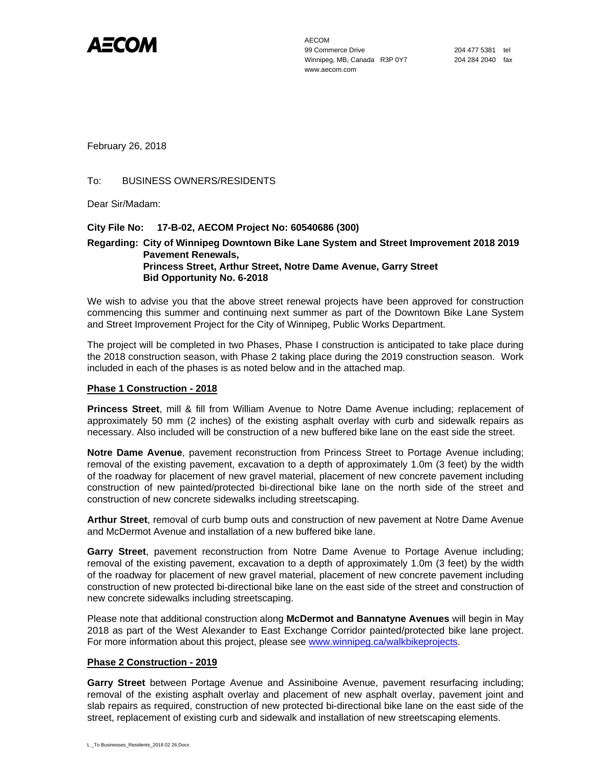

AECOM 99 Commerce Drive 204 477 5381 tel Winnipeg, MB, Canada R3P 0Y7 204 284 2040 fax www.aecom.com

February 26, 2018

# To: BUSINESS OWNERS/RESIDENTS

Dear Sir/Madam:

# **City File No: 17-B-02, AECOM Project No: 60540686 (300)**

# **Regarding: City of Winnipeg Downtown Bike Lane System and Street Improvement 2018 2019 Pavement Renewals, Princess Street, Arthur Street, Notre Dame Avenue, Garry Street Bid Opportunity No. 6-2018**

We wish to advise you that the above street renewal projects have been approved for construction commencing this summer and continuing next summer as part of the Downtown Bike Lane System and Street Improvement Project for the City of Winnipeg, Public Works Department.

The project will be completed in two Phases, Phase I construction is anticipated to take place during the 2018 construction season, with Phase 2 taking place during the 2019 construction season. Work included in each of the phases is as noted below and in the attached map.

# **Phase 1 Construction - 2018**

**Princess Street**, mill & fill from William Avenue to Notre Dame Avenue including; replacement of approximately 50 mm (2 inches) of the existing asphalt overlay with curb and sidewalk repairs as necessary. Also included will be construction of a new buffered bike lane on the east side the street.

**Notre Dame Avenue**, pavement reconstruction from Princess Street to Portage Avenue including; removal of the existing pavement, excavation to a depth of approximately 1.0m (3 feet) by the width of the roadway for placement of new gravel material, placement of new concrete pavement including construction of new painted/protected bi-directional bike lane on the north side of the street and construction of new concrete sidewalks including streetscaping.

**Arthur Street**, removal of curb bump outs and construction of new pavement at Notre Dame Avenue and McDermot Avenue and installation of a new buffered bike lane.

**Garry Street**, pavement reconstruction from Notre Dame Avenue to Portage Avenue including; removal of the existing pavement, excavation to a depth of approximately 1.0m (3 feet) by the width of the roadway for placement of new gravel material, placement of new concrete pavement including construction of new protected bi-directional bike lane on the east side of the street and construction of new concrete sidewalks including streetscaping.

Please note that additional construction along **McDermot and Bannatyne Avenues** will begin in May 2018 as part of the West Alexander to East Exchange Corridor painted/protected bike lane project. For more information about this project, please see www.winnipeg.ca/walkbikeprojects.

# **Phase 2 Construction - 2019**

**Garry Street** between Portage Avenue and Assiniboine Avenue, pavement resurfacing including; removal of the existing asphalt overlay and placement of new asphalt overlay, pavement joint and slab repairs as required, construction of new protected bi-directional bike lane on the east side of the street, replacement of existing curb and sidewalk and installation of new streetscaping elements.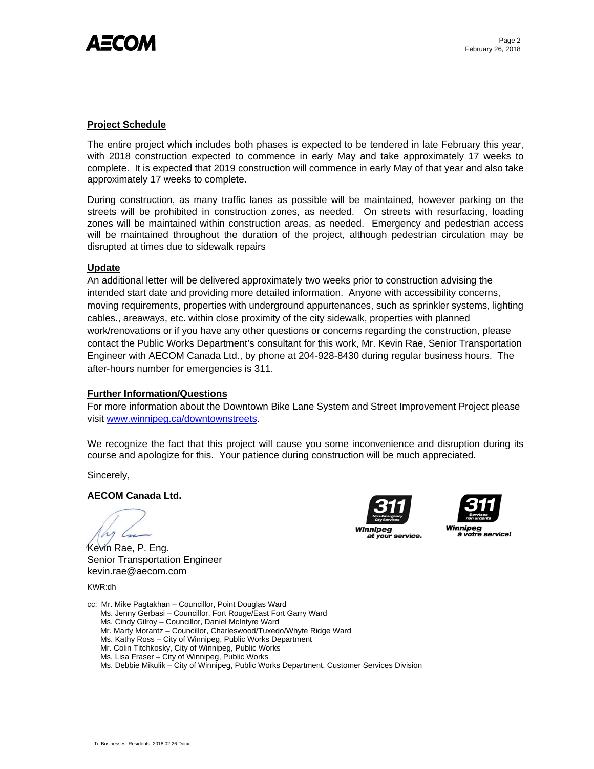

#### **Project Schedule**

The entire project which includes both phases is expected to be tendered in late February this year, with 2018 construction expected to commence in early May and take approximately 17 weeks to complete. It is expected that 2019 construction will commence in early May of that year and also take approximately 17 weeks to complete.

During construction, as many traffic lanes as possible will be maintained, however parking on the streets will be prohibited in construction zones, as needed. On streets with resurfacing, loading zones will be maintained within construction areas, as needed. Emergency and pedestrian access will be maintained throughout the duration of the project, although pedestrian circulation may be disrupted at times due to sidewalk repairs

#### **Update**

An additional letter will be delivered approximately two weeks prior to construction advising the intended start date and providing more detailed information. Anyone with accessibility concerns, moving requirements, properties with underground appurtenances, such as sprinkler systems, lighting cables., areaways, etc. within close proximity of the city sidewalk, properties with planned work/renovations or if you have any other questions or concerns regarding the construction, please contact the Public Works Department's consultant for this work, Mr. Kevin Rae, Senior Transportation Engineer with AECOM Canada Ltd., by phone at 204-928-8430 during regular business hours. The after-hours number for emergencies is 311.

#### **Further Information/Questions**

For more information about the Downtown Bike Lane System and Street Improvement Project please visit www.winnipeg.ca/downtownstreets.

We recognize the fact that this project will cause you some inconvenience and disruption during its course and apologize for this. Your patience during construction will be much appreciated.

Sincerely,

# **AECOM Canada Ltd.**

h

Kevin Rae, P. Eng. Senior Transportation Engineer kevin.rae@aecom.com

KWR:dh

cc: Mr. Mike Pagtakhan – Councillor, Point Douglas Ward

- Ms. Jenny Gerbasi Councillor, Fort Rouge/East Fort Garry Ward
- Ms. Cindy Gilroy Councillor, Daniel McIntyre Ward
- Mr. Marty Morantz Councillor, Charleswood/Tuxedo/Whyte Ridge Ward
- Ms. Kathy Ross City of Winnipeg, Public Works Department
- Mr. Colin Titchkosky, City of Winnipeg, Public Works
- Ms. Lisa Fraser City of Winnipeg, Public Works
- Ms. Debbie Mikulik City of Winnipeg, Public Works Department, Customer Services Division